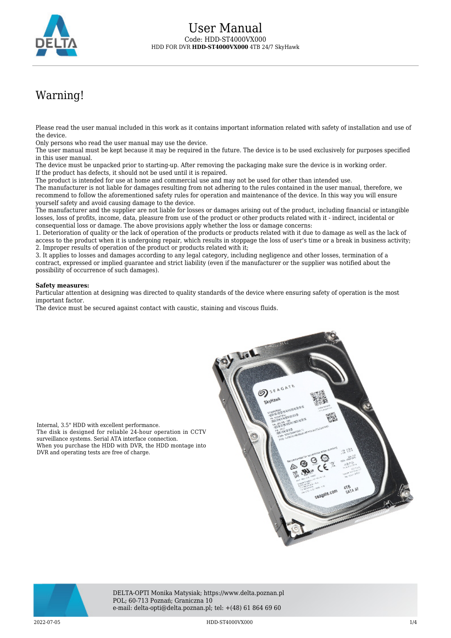

# Warning!

Please read the user manual included in this work as it contains important information related with safety of installation and use of the device.

Only persons who read the user manual may use the device.

The user manual must be kept because it may be required in the future. The device is to be used exclusively for purposes specified in this user manual.

The device must be unpacked prior to starting-up. After removing the packaging make sure the device is in working order. If the product has defects, it should not be used until it is repaired.

The product is intended for use at home and commercial use and may not be used for other than intended use.

The manufacturer is not liable for damages resulting from not adhering to the rules contained in the user manual, therefore, we recommend to follow the aforementioned safety rules for operation and maintenance of the device. In this way you will ensure yourself safety and avoid causing damage to the device.

The manufacturer and the supplier are not liable for losses or damages arising out of the product, including financial or intangible losses, loss of profits, income, data, pleasure from use of the product or other products related with it - indirect, incidental or consequential loss or damage. The above provisions apply whether the loss or damage concerns:

1. Deterioration of quality or the lack of operation of the products or products related with it due to damage as well as the lack of access to the product when it is undergoing repair, which results in stoppage the loss of user's time or a break in business activity; 2. Improper results of operation of the product or products related with it;

3. It applies to losses and damages according to any legal category, including negligence and other losses, termination of a contract, expressed or implied guarantee and strict liability (even if the manufacturer or the supplier was notified about the possibility of occurrence of such damages).

### **Safety measures:**

Internal, 3.5" HDD with excellent performance.

DVR and operating tests are free of charge.

surveillance systems. Serial ATA interface connection.

Particular attention at designing was directed to quality standards of the device where ensuring safety of operation is the most important factor.

The device must be secured against contact with caustic, staining and viscous fluids.





DELTA-OPTI Monika Matysiak; https://www.delta.poznan.pl POL; 60-713 Poznań; Graniczna 10 e-mail: delta-opti@delta.poznan.pl; tel: +(48) 61 864 69 60

 $2022$ -07-05 1/4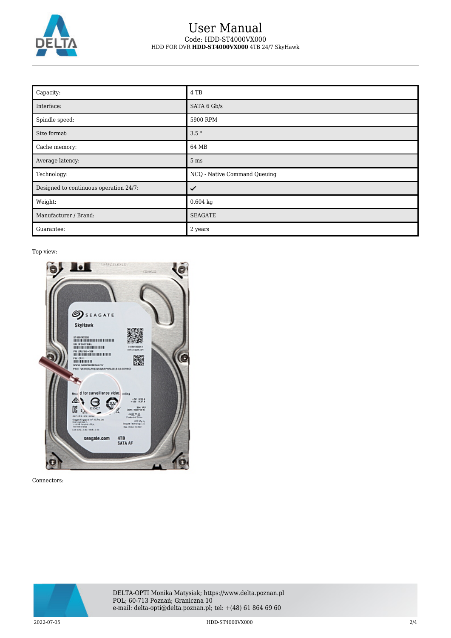

## User Manual Code: HDD-ST4000VX000 HDD FOR DVR **HDD-ST4000VX000** 4TB 24/7 SkyHawk

| Capacity:                              | 4 TB                         |
|----------------------------------------|------------------------------|
| Interface:                             | SATA 6 Gb/s                  |
| Spindle speed:                         | 5900 RPM                     |
| Size format:                           | $3.5$ "                      |
| Cache memory:                          | 64 MB                        |
| Average latency:                       | 5 <sub>ms</sub>              |
| Technology:                            | NCQ - Native Command Queuing |
| Designed to continuous operation 24/7: | ✓                            |
| Weight:                                | $0.604$ kg                   |
| Manufacturer / Brand:                  | <b>SEAGATE</b>               |
| Guarantee:                             | 2 years                      |

### Top view:



Connectors:



2022-07-05 HDD-ST4000VX000 2/4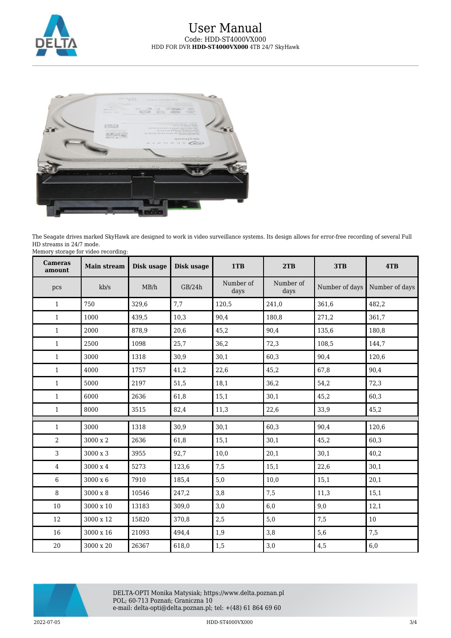



The Seagate drives marked SkyHawk are designed to work in video surveillance systems. Its design allows for error-free recording of several Full HD streams in 24/7 mode. Memory storage for video recording:

| <b>Cameras</b><br>amount | <b>Main stream</b> | Disk usage | Disk usage | 1TB               | 2TB               | 3TB            | 4TB            |
|--------------------------|--------------------|------------|------------|-------------------|-------------------|----------------|----------------|
| pcs                      | kb/s               | MB/h       | GB/24h     | Number of<br>days | Number of<br>days | Number of days | Number of days |
| $\mathbf{1}$             | 750                | 329,6      | 7,7        | 120,5             | 241,0             | 361,6          | 482,2          |
| $\mathbf{1}$             | 1000               | 439,5      | 10,3       | 90,4              | 180,8             | 271,2          | 361,7          |
| $\mathbf{1}$             | 2000               | 878,9      | 20,6       | 45,2              | 90,4              | 135,6          | 180,8          |
| $\mathbf{1}$             | 2500               | 1098       | 25,7       | 36,2              | 72,3              | 108,5          | 144,7          |
| $\mathbf{1}$             | 3000               | 1318       | 30,9       | 30,1              | 60,3              | 90,4           | 120,6          |
| $\mathbf{1}$             | 4000               | 1757       | 41,2       | 22,6              | 45,2              | 67,8           | 90,4           |
| $\mathbf{1}$             | 5000               | 2197       | 51,5       | 18,1              | 36,2              | 54,2           | 72,3           |
| $\mathbf{1}$             | 6000               | 2636       | 61,8       | 15,1              | 30,1              | 45,2           | 60,3           |
| $\mathbf{1}$             | 8000               | 3515       | 82,4       | 11,3              | 22,6              | 33,9           | 45,2           |
| $\mathbf{1}$             | 3000               | 1318       | 30,9       | 30,1              | 60,3              | 90,4           | 120,6          |
| $\overline{2}$           | $3000 \ge 2$       | 2636       | 61,8       | 15,1              | 30,1              | 45,2           | 60,3           |
| 3                        | 3000 x 3           | 3955       | 92,7       | 10,0              | 20,1              | 30,1           | 40,2           |
| $\overline{4}$           | $3000 \ge 4$       | 5273       | 123,6      | 7,5               | 15,1              | 22,6           | 30,1           |
| 6                        | 3000 x 6           | 7910       | 185,4      | 5,0               | 10,0              | 15,1           | 20,1           |
| 8                        | 3000 x 8           | 10546      | 247,2      | 3,8               | 7,5               | 11,3           | 15,1           |
| $10\,$                   | 3000 x 10          | 13183      | 309,0      | 3,0               | 6,0               | 9,0            | 12,1           |
| 12                       | 3000 x 12          | 15820      | 370,8      | 2,5               | 5,0               | 7,5            | 10             |
| 16                       | 3000 x 16          | 21093      | 494,4      | 1,9               | 3,8               | 5,6            | 7,5            |
| 20                       | $3000 \ge 20$      | 26367      | 618,0      | 1,5               | 3,0               | 4,5            | 6,0            |

DELTA-OPTI Monika Matysiak; https://www.delta.poznan.pl POL; 60-713 Poznań; Graniczna 10 e-mail: delta-opti@delta.poznan.pl; tel: +(48) 61 864 69 60

2022-07-05 HDD-ST4000VX000 3/4